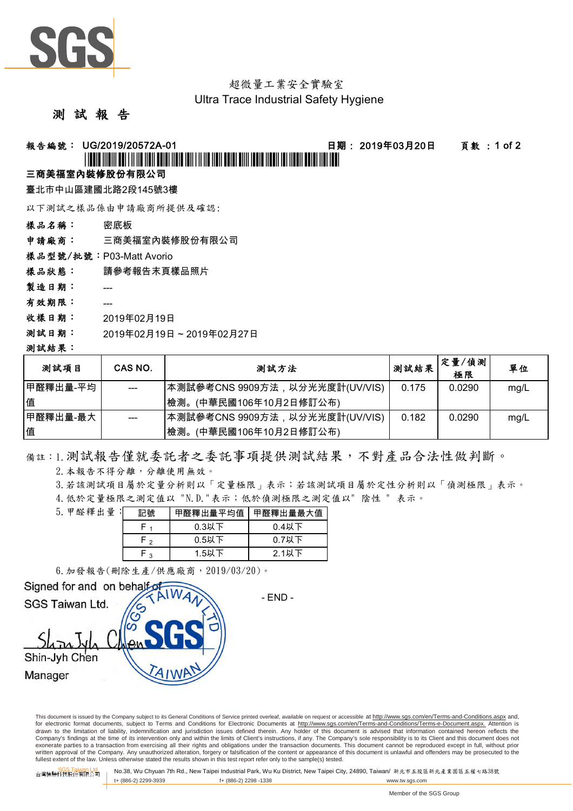

# 超微量工業安全實驗室

#### Ultra Trace Industrial Safety Hygiene

#### 測 試 報 告

#### 報告編號: UG/2019/20572A-01 日期: 2019年03月20日 頁數 : 1 of 2

## \*UG/2019/20572A-01\*

#### 三商美福室內裝修股份有限公司

臺北市中山區建國北路2段145號3樓

以下測試之樣品係由申請廠商所提供及確認:

樣品名稱: 密底板

申請廠商: 三商美福室內裝修股份有限公司

樣品型號/批號:P03-Matt Avorio

樣品狀態: 請參考報告末頁樣品照片

製造日期: ---

- 有效期限: ---
- 收樣日期: 2019年02月19日
- 測試日期: 2019年02月19日 ~ 2019年02月27日

#### 測試結果:

| 測試項目     | CAS NO. | 測試方法                            | 测試結果  | 定量/偵測<br>極限 | 單位   |
|----------|---------|---------------------------------|-------|-------------|------|
| 甲醛釋出量-平均 |         | 本測試參考CNS 9909方法,以分光光度計(UV/VIS)  | 0.175 | 0.0290      | mq/L |
| 值        |         | (中華民國106年10月2日修訂公布)<br>檢測。      |       |             |      |
| 甲醛釋出量-最大 |         | ┃本測試參考CNS 9909方法,以分光光度計(UV/VIS) | 0.182 | 0.0290      | mg/L |
| 值        |         | 檢測。<br>(中華民國106年10月2日修訂公布)      |       |             |      |

備註:1.測試報告僅就委託者之委託事項提供測試結果,不對產品合法性做判斷。

2.本報告不得分離,分離使用無效。

3.若該測試項目屬於定量分析則以「定量極限」表示;若該測試項目屬於定性分析則以「偵測極限」表示。

4.低於定量極限之測定值以 "N.D."表示;低於偵測極限之測定值以" 陰性 " 表示。

| 5. 甲醛釋出量 : | 記號     | 甲醛釋出量平均值 | 甲醛釋出量最大值 |  |
|------------|--------|----------|----------|--|
|            |        | $0.3$ 以下 | $0.4$ 以下 |  |
|            | $\sim$ | $0.5$ 以下 | $0.7$ 以下 |  |
|            | ໍ່າ    | 1.5以下    | $2.1$ 以下 |  |

6.加發報告(刪除生產/供應廠商,2019/03/20)。



This document is issued by the Company subject to its General Conditions of Service printed overleaf, available on request or accessible at http://www.sgs.com/en/Terms-and-Conditions.aspx and, for electronic format documents, subject to Terms and Conditions for Electronic Documents at http://www.sgs.com/en/Terms-and-Conditions/Terms-e-Document.aspx. Attention is drawn to the limitation of liability, indemnification and jurisdiction issues defined therein. Any holder of this document is advised that information contained hereon reflects the<br>Company's findings at the time of its int exonerate parties to a transaction from exercising all their rights and obligations under the transaction documents. This document cannot be reproduced except in full, without prior written approval of the Company. Any unauthorized alteration, forgery or falsification of the content or appearance of this document is unlawful and offenders may be prosecuted to the<br>fullest extent of the law. Unless othe

SGS Taiwan Ltd. 台灣檢驗科技股份有限公司 No.38, Wu Chyuan 7th Rd., New Taipei Industrial Park, Wu Ku District, New Taipei City, 24890, Taiwan/ 新北市五股區新北產業園區五權七路38號 t+ (886-2) 2299-3939 f+ (886-2) 2298 -1338